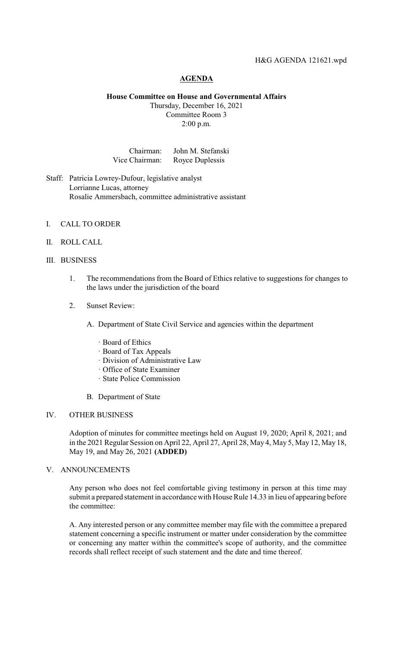### H&G AGENDA 121621.wpd

# **AGENDA**

### **House Committee on House and Governmental Affairs**

Thursday, December 16, 2021 Committee Room 3 2:00 p.m.

Chairman: John M. Stefanski Vice Chairman: Royce Duplessis

Staff: Patricia Lowrey-Dufour, legislative analyst Lorrianne Lucas, attorney Rosalie Ammersbach, committee administrative assistant

### I. CALL TO ORDER

## II. ROLL CALL

# III. BUSINESS

- 1. The recommendations from the Board of Ethics relative to suggestions for changes to the laws under the jurisdiction of the board
- 2. Sunset Review:
	- A. Department of State Civil Service and agencies within the department
		- · Board of Ethics
		- · Board of Tax Appeals
		- · Division of Administrative Law
		- · Office of State Examiner
		- · State Police Commission
	- B. Department of State

#### IV. OTHER BUSINESS

Adoption of minutes for committee meetings held on August 19, 2020; April 8, 2021; and in the 2021 Regular Session on April 22, April 27, April 28, May 4, May 5, May 12, May 18, May 19, and May 26, 2021 **(ADDED)**

### V. ANNOUNCEMENTS

Any person who does not feel comfortable giving testimony in person at this time may submit a prepared statement in accordance with House Rule 14.33 in lieu of appearing before the committee:

A. Any interested person or any committee member may file with the committee a prepared statement concerning a specific instrument or matter under consideration by the committee or concerning any matter within the committee's scope of authority, and the committee records shall reflect receipt of such statement and the date and time thereof.